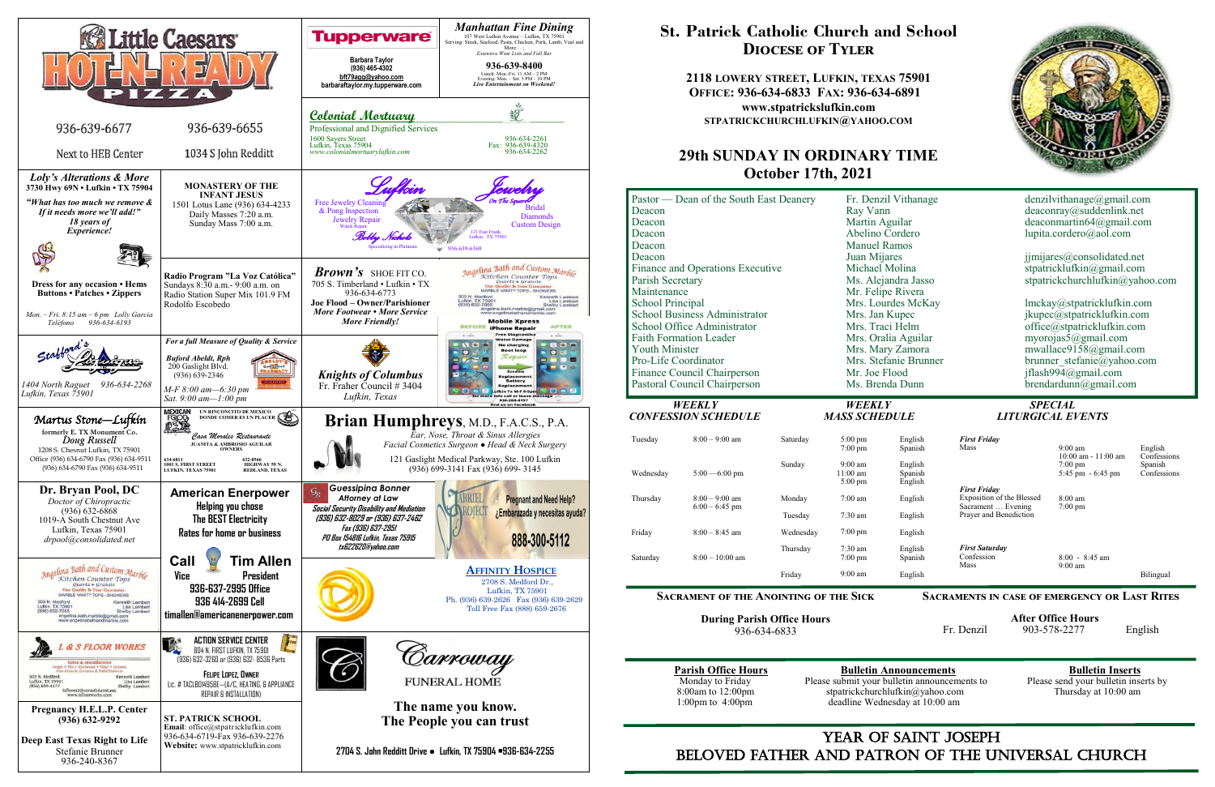

## YEAR OF SAINT JOSEPH beloved father AND Patron of the Universal Church



# **St. Patrick Catholic Church and School Diocese of Tyler**

**2118 LOWERY STREET, LUFKIN, TEXAS 75901 OFFICE: 936-634-6833 FAX: 936-634-6891 www.stpatrickslufkin.com STPATRICKCHURCHLUFKIN@YAHOO.COM**

## **29th SUNDAY IN ORDINARY TIME October 17th, 2021**



|                                                      | Pastor — Dean of the South East Deanery     |                                                                                  |                                       | Fr. Denzil Vithanage                     |                                              | denzilvitha                     |  |             |                |  |
|------------------------------------------------------|---------------------------------------------|----------------------------------------------------------------------------------|---------------------------------------|------------------------------------------|----------------------------------------------|---------------------------------|--|-------------|----------------|--|
| Deacon                                               |                                             |                                                                                  | Ray Vann                              |                                          | deaconray (                                  |                                 |  |             |                |  |
| Deacon                                               |                                             |                                                                                  | Martin Aguilar                        |                                          | deaconmart                                   |                                 |  |             |                |  |
| Deacon                                               |                                             |                                                                                  | Abelino Cordero                       |                                          | lupita.corde                                 |                                 |  |             |                |  |
| Deacon                                               |                                             |                                                                                  | <b>Manuel Ramos</b>                   |                                          |                                              |                                 |  |             |                |  |
| Deacon                                               |                                             |                                                                                  | Juan Mijares                          |                                          | jimijares $(a)$                              |                                 |  |             |                |  |
| Finance and Operations Executive<br>Parish Secretary |                                             | Michael Molina<br>Ms. Alejandra Jasso<br>Mr. Felipe Rivera<br>Mrs. Lourdes McKay |                                       | stpatrickluf<br>stpatrickch<br>lmckay@st |                                              |                                 |  |             |                |  |
|                                                      |                                             |                                                                                  |                                       |                                          |                                              | Maintenance<br>School Principal |  |             |                |  |
| <b>School Business Administrator</b>                 |                                             |                                                                                  |                                       |                                          |                                              |                                 |  |             | Mrs. Jan Kupec |  |
| School Office Administrator                          |                                             |                                                                                  |                                       |                                          |                                              | Mrs. Traci Helm                 |  | office@stpa |                |  |
| <b>Faith Formation Leader</b>                        |                                             |                                                                                  | Mrs. Oralia Aguilar                   |                                          | myorojas5(                                   |                                 |  |             |                |  |
| <b>Youth Minister</b>                                |                                             | Mrs. Mary Zamora                                                                 |                                       | mwallace91                               |                                              |                                 |  |             |                |  |
| Pro-Life Coordinator                                 |                                             | Mrs. Stefanie Brunner                                                            |                                       | brunner ste                              |                                              |                                 |  |             |                |  |
|                                                      | Finance Council Chairperson                 |                                                                                  | Mr. Joe Flood                         |                                          | jflash994 $(a)$                              |                                 |  |             |                |  |
|                                                      | Pastoral Council Chairperson                |                                                                                  |                                       | Ms. Brenda Dunn                          | brendardun                                   |                                 |  |             |                |  |
|                                                      |                                             |                                                                                  |                                       |                                          |                                              |                                 |  |             |                |  |
|                                                      |                                             |                                                                                  |                                       |                                          |                                              |                                 |  |             |                |  |
|                                                      | <b>WEEKLY</b><br><b>CONFESSION SCHEDULE</b> |                                                                                  | <b>WEEKLY</b><br><b>MASS SCHEDULE</b> |                                          | <b>LITURGICAL E</b>                          | <b>SPECIAL</b>                  |  |             |                |  |
|                                                      |                                             |                                                                                  |                                       |                                          |                                              |                                 |  |             |                |  |
| Tuesday                                              | $8:00 - 9:00$ am                            | Saturday                                                                         | $5:00$ pm                             | English                                  | <b>First Friday</b>                          |                                 |  |             |                |  |
|                                                      |                                             |                                                                                  | $7:00 \text{ pm}$                     | Spanish                                  | Mass                                         | 9:00<br>10:00                   |  |             |                |  |
|                                                      |                                             | Sunday                                                                           | 9:00 am                               | English                                  |                                              | 7:00                            |  |             |                |  |
| Wednesday                                            | $5:00 - 6:00$ pm                            |                                                                                  | $11:00 \text{ am}$                    | Spanish                                  |                                              | 5:45                            |  |             |                |  |
|                                                      |                                             |                                                                                  | $5:00 \text{ pm}$                     | English                                  | <b>First Friday</b>                          |                                 |  |             |                |  |
| Thursday                                             | $8:00 - 9:00$ am                            | Monday                                                                           | $7:00$ am                             | English                                  | Exposition of the Blessed                    | 8:00                            |  |             |                |  |
|                                                      | $6:00 - 6:45$ pm                            | Tuesday                                                                          | $7:30$ am                             | English                                  | Sacrament  Evening<br>Prayer and Benediction | 7:00                            |  |             |                |  |
| Friday                                               | $8:00 - 8:45$ am                            | Wednesday                                                                        | $7:00$ pm                             | English                                  |                                              |                                 |  |             |                |  |
|                                                      |                                             | Thursday                                                                         | 7:30 am                               | English                                  | <b>First Saturday</b>                        |                                 |  |             |                |  |
| Saturday                                             | $8:00 - 10:00$ am                           |                                                                                  | $7:00 \text{ pm}$                     | Spanish                                  | Confession                                   | 8:00                            |  |             |                |  |
|                                                      |                                             | Friday                                                                           | $9:00 \text{ am}$                     | English                                  | Mass                                         | 9:00                            |  |             |                |  |

**During Parish Office Hours**  936-634-6833

**Parish Office Hours**<br>Monday to Friday **Please submit your bulletin announcements** to Please send your bulletin inserts by Monday to Friday Please submit your bulletin announcements to 8:00am to 12:00pm stratrickchurchlufkin@yahoo.com 8:00am to 12:00pm stpatrickchurchlufkin@yahoo.com Thursday at 10:00 am 1:00pm to 4:00pm deadline Wednesday at 10:00 am deadline Wednesday at 10:00 am

**Sacraments in case of emergency or Last Rites** 

 **After Office Hours**  Fr. Denzil 903-578-2277 English

# *CONFESSION SCHEDULE MASS SCHEDULE LITURGICAL EVENTS*

| English<br>Spanish            | <b>First Friday</b><br>Mass                                            | $9:00 \text{ am}$                                                  | English                               |
|-------------------------------|------------------------------------------------------------------------|--------------------------------------------------------------------|---------------------------------------|
| English<br>Spanish<br>English |                                                                        | $10:00$ am - $11:00$ am<br>$7:00 \text{ pm}$<br>5:45 pm $-6:45$ pm | Confessions<br>Spanish<br>Confessions |
| English                       | <b>First Friday</b><br>Exposition of the Blessed<br>Sacrament  Evening | $8:00 \text{ am}$<br>$7:00 \text{ pm}$                             |                                       |
| English                       | Prayer and Benediction                                                 |                                                                    |                                       |
| English                       |                                                                        |                                                                    |                                       |
| English<br>Spanish            | <b>First Saturday</b><br>Confession<br>Mass                            | $8:00 - 8:45$ am<br>$9:00$ am                                      |                                       |
| English                       |                                                                        |                                                                    | Bilingual                             |